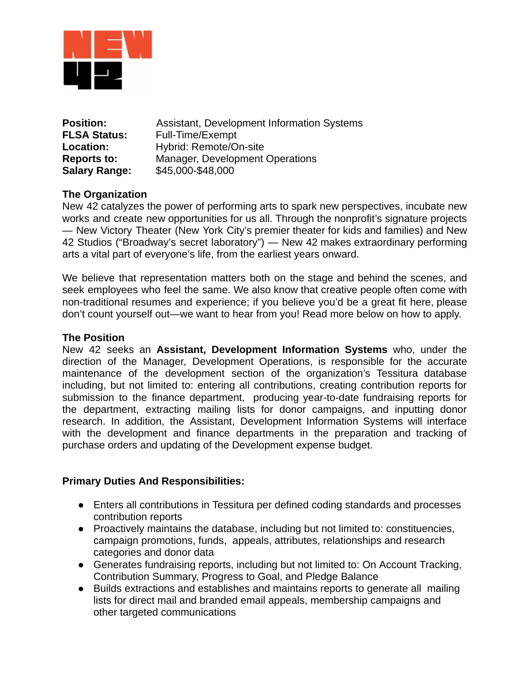

| <b>Position:</b>     | Assistant, Development Information Systems |
|----------------------|--------------------------------------------|
| <b>FLSA Status:</b>  | Full-Time/Exempt                           |
| Location:            | Hybrid: Remote/On-site                     |
| <b>Reports to:</b>   | Manager, Development Operations            |
| <b>Salary Range:</b> | \$45,000-\$48,000                          |

# **The Organization**

New 42 catalyzes the power of performing arts to spark new perspectives, incubate new works and create new opportunities for us all. Through the nonprofit's signature projects — New Victory Theater (New York City's premier theater for kids and families) and New 42 Studios ("Broadway's secret laboratory") — New 42 makes extraordinary performing arts a vital part of everyone's life, from the earliest years onward.

We believe that representation matters both on the stage and behind the scenes, and seek employees who feel the same. We also know that creative people often come with non-traditional resumes and experience; if you believe you'd be a great fit here, please don't count yourself out—we want to hear from you! Read more below on how to apply.

### **The Position**

New 42 seeks an **Assistant, Development Information Systems** who, under the direction of the Manager, Development Operations, is responsible for the accurate maintenance of the development section of the organization's Tessitura database including, but not limited to: entering all contributions, creating contribution reports for submission to the finance department, producing year-to-date fundraising reports for the department, extracting mailing lists for donor campaigns, and inputting donor research. In addition, the Assistant, Development Information Systems will interface with the development and finance departments in the preparation and tracking of purchase orders and updating of the Development expense budget.

#### **Primary Duties And Responsibilities:**

- Enters all contributions in Tessitura per defined coding standards and processes contribution reports
- Proactively maintains the database, including but not limited to: constituencies, campaign promotions, funds, appeals, attributes, relationships and research categories and donor data
- Generates fundraising reports, including but not limited to: On Account Tracking, Contribution Summary, Progress to Goal, and Pledge Balance
- Builds extractions and establishes and maintains reports to generate all mailing lists for direct mail and branded email appeals, membership campaigns and other targeted communications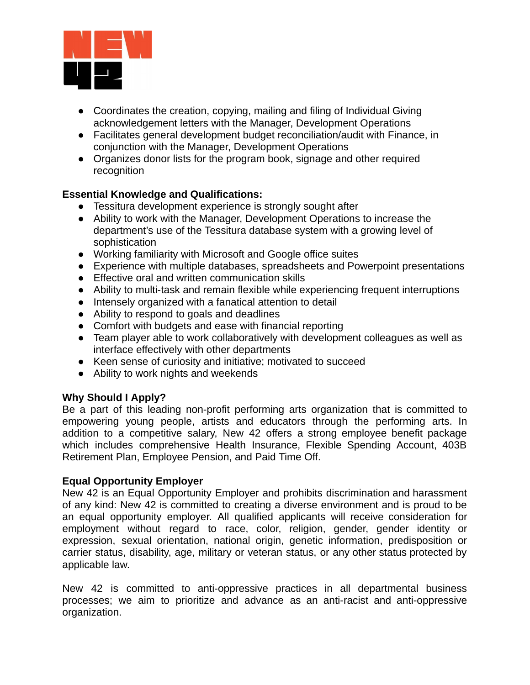

- Coordinates the creation, copying, mailing and filing of Individual Giving acknowledgement letters with the Manager, Development Operations
- Facilitates general development budget reconciliation/audit with Finance, in conjunction with the Manager, Development Operations
- Organizes donor lists for the program book, signage and other required recognition

# **Essential Knowledge and Qualifications:**

- Tessitura development experience is strongly sought after
- Ability to work with the Manager, Development Operations to increase the department's use of the Tessitura database system with a growing level of sophistication
- Working familiarity with Microsoft and Google office suites
- Experience with multiple databases, spreadsheets and Powerpoint presentations
- Effective oral and written communication skills
- Ability to multi-task and remain flexible while experiencing frequent interruptions
- Intensely organized with a fanatical attention to detail
- Ability to respond to goals and deadlines
- Comfort with budgets and ease with financial reporting
- Team player able to work collaboratively with development colleagues as well as interface effectively with other departments
- Keen sense of curiosity and initiative; motivated to succeed
- Ability to work nights and weekends

# **Why Should I Apply?**

Be a part of this leading non-profit performing arts organization that is committed to empowering young people, artists and educators through the performing arts. In addition to a competitive salary, New 42 offers a strong employee benefit package which includes comprehensive Health Insurance, Flexible Spending Account, 403B Retirement Plan, Employee Pension, and Paid Time Off.

# **Equal Opportunity Employer**

New 42 is an Equal Opportunity Employer and prohibits discrimination and harassment of any kind: New 42 is committed to creating a diverse environment and is proud to be an equal opportunity employer. All qualified applicants will receive consideration for employment without regard to race, color, religion, gender, gender identity or expression, sexual orientation, national origin, genetic information, predisposition or carrier status, disability, age, military or veteran status, or any other status protected by applicable law.

New 42 is committed to anti-oppressive practices in all departmental business processes; we aim to prioritize and advance as an anti-racist and anti-oppressive organization.